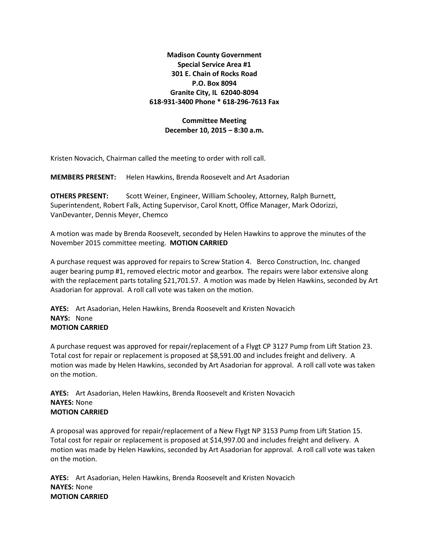**Madison County Government Special Service Area #1 301 E. Chain of Rocks Road P.O. Box 8094 Granite City, IL 62040-8094 618-931-3400 Phone \* 618-296-7613 Fax**

## **Committee Meeting December 10, 2015 – 8:30 a.m.**

Kristen Novacich, Chairman called the meeting to order with roll call.

**MEMBERS PRESENT:** Helen Hawkins, Brenda Roosevelt and Art Asadorian

**OTHERS PRESENT:** Scott Weiner, Engineer, William Schooley, Attorney, Ralph Burnett, Superintendent, Robert Falk, Acting Supervisor, Carol Knott, Office Manager, Mark Odorizzi, VanDevanter, Dennis Meyer, Chemco

A motion was made by Brenda Roosevelt, seconded by Helen Hawkins to approve the minutes of the November 2015 committee meeting. **MOTION CARRIED**

A purchase request was approved for repairs to Screw Station 4. Berco Construction, Inc. changed auger bearing pump #1, removed electric motor and gearbox. The repairs were labor extensive along with the replacement parts totaling \$21,701.57. A motion was made by Helen Hawkins, seconded by Art Asadorian for approval. A roll call vote was taken on the motion.

**AYES:** Art Asadorian, Helen Hawkins, Brenda Roosevelt and Kristen Novacich **NAYS:** None **MOTION CARRIED**

A purchase request was approved for repair/replacement of a Flygt CP 3127 Pump from Lift Station 23. Total cost for repair or replacement is proposed at \$8,591.00 and includes freight and delivery. A motion was made by Helen Hawkins, seconded by Art Asadorian for approval. A roll call vote was taken on the motion.

**AYES:** Art Asadorian, Helen Hawkins, Brenda Roosevelt and Kristen Novacich **NAYES:** None **MOTION CARRIED**

A proposal was approved for repair/replacement of a New Flygt NP 3153 Pump from Lift Station 15. Total cost for repair or replacement is proposed at \$14,997.00 and includes freight and delivery. A motion was made by Helen Hawkins, seconded by Art Asadorian for approval. A roll call vote was taken on the motion.

**AYES:** Art Asadorian, Helen Hawkins, Brenda Roosevelt and Kristen Novacich **NAYES:** None **MOTION CARRIED**